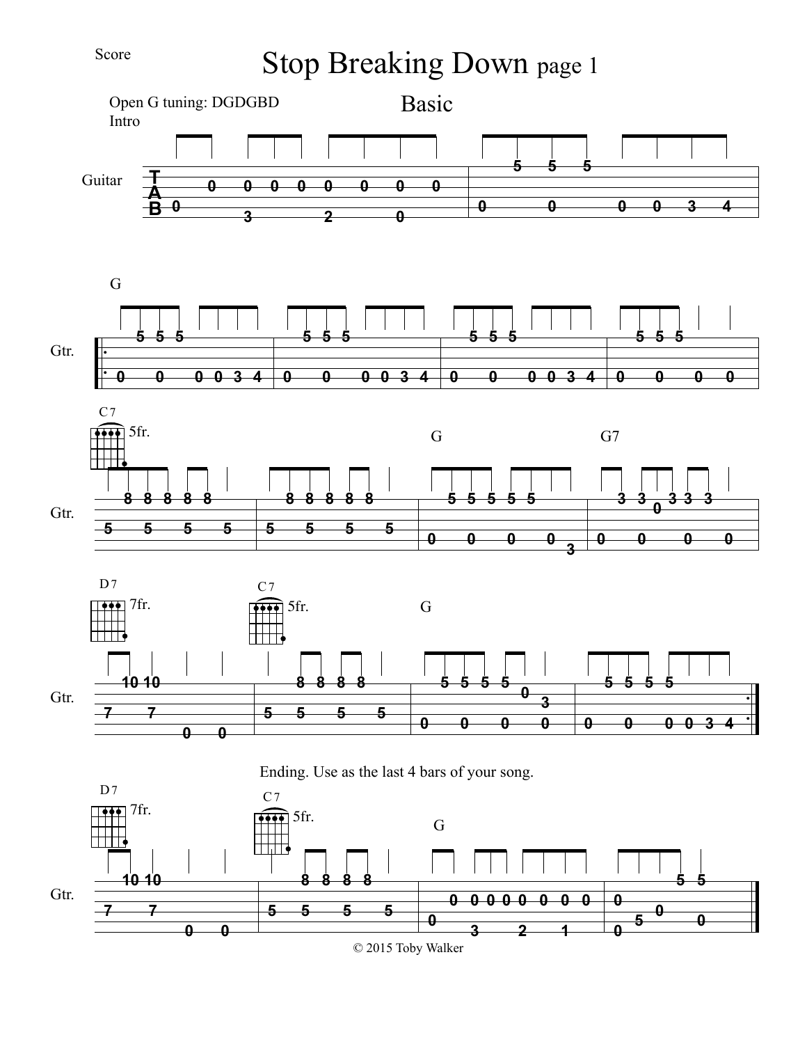## Score

Stop Breaking Down page 1